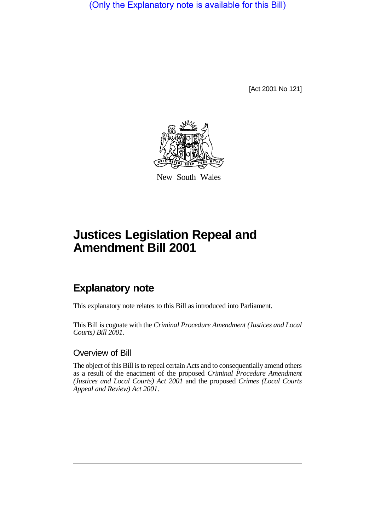(Only the Explanatory note is available for this Bill)

[Act 2001 No 121]



New South Wales

# **Justices Legislation Repeal and Amendment Bill 2001**

## **Explanatory note**

This explanatory note relates to this Bill as introduced into Parliament.

This Bill is cognate with the *Criminal Procedure Amendment (Justices and Local Courts) Bill 2001*.

#### Overview of Bill

The object of this Bill is to repeal certain Acts and to consequentially amend others as a result of the enactment of the proposed *Criminal Procedure Amendment (Justices and Local Courts) Act 2001* and the proposed *Crimes (Local Courts Appeal and Review) Act 2001*.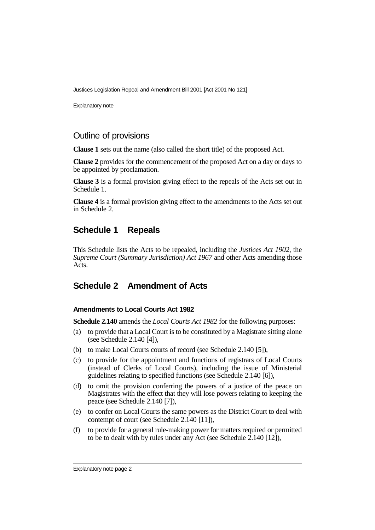Justices Legislation Repeal and Amendment Bill 2001 [Act 2001 No 121]

Explanatory note

#### Outline of provisions

**Clause 1** sets out the name (also called the short title) of the proposed Act.

**Clause 2** provides for the commencement of the proposed Act on a day or days to be appointed by proclamation.

**Clause 3** is a formal provision giving effect to the repeals of the Acts set out in Schedule 1.

**Clause 4** is a formal provision giving effect to the amendments to the Acts set out in Schedule 2.

### **Schedule 1 Repeals**

This Schedule lists the Acts to be repealed, including the *Justices Act 1902*, the *Supreme Court (Summary Jurisdiction) Act 1967* and other Acts amending those Acts.

## **Schedule 2 Amendment of Acts**

#### **Amendments to Local Courts Act 1982**

**Schedule 2.140** amends the *Local Courts Act 1982* for the following purposes:

- (a) to provide that a Local Court is to be constituted by a Magistrate sitting alone (see Schedule 2.140 [4]),
- (b) to make Local Courts courts of record (see Schedule 2.140 [5]),
- (c) to provide for the appointment and functions of registrars of Local Courts (instead of Clerks of Local Courts), including the issue of Ministerial guidelines relating to specified functions (see Schedule 2.140 [6]),
- (d) to omit the provision conferring the powers of a justice of the peace on Magistrates with the effect that they will lose powers relating to keeping the peace (see Schedule 2.140 [7]),
- (e) to confer on Local Courts the same powers as the District Court to deal with contempt of court (see Schedule 2.140 [11]),
- (f) to provide for a general rule-making power for matters required or permitted to be to dealt with by rules under any Act (see Schedule 2.140 [12]),

Explanatory note page 2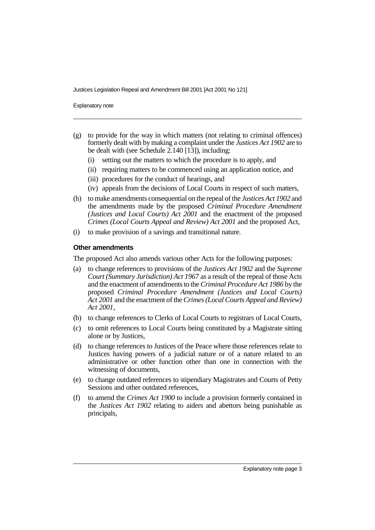Justices Legislation Repeal and Amendment Bill 2001 [Act 2001 No 121]

Explanatory note

- (g) to provide for the way in which matters (not relating to criminal offences) formerly dealt with by making a complaint under the *Justices Act 1902* are to be dealt with (see Schedule 2.140 [13]), including:
	- (i) setting out the matters to which the procedure is to apply, and
	- (ii) requiring matters to be commenced using an application notice, and
	- (iii) procedures for the conduct of hearings, and
	- (iv) appeals from the decisions of Local Courts in respect of such matters,
- (h) to make amendments consequential on the repeal of the *Justices Act 1902* and the amendments made by the proposed *Criminal Procedure Amendment (Justices and Local Courts) Act 2001* and the enactment of the proposed *Crimes (Local Courts Appeal and Review) Act 2001* and the proposed Act,
- (i) to make provision of a savings and transitional nature.

#### **Other amendments**

The proposed Act also amends various other Acts for the following purposes:

- (a) to change references to provisions of the *Justices Act 1902* and the *Supreme Court (Summary Jurisdiction) Act 1967* as a result of the repeal of those Acts and the enactment of amendments to the *Criminal Procedure Act 1986* by the proposed *Criminal Procedure Amendment (Justices and Local Courts) Act 2001* and the enactment of the *Crimes (Local Courts Appeal and Review) Act 2001*,
- (b) to change references to Clerks of Local Courts to registrars of Local Courts,
- (c) to omit references to Local Courts being constituted by a Magistrate sitting alone or by Justices,
- (d) to change references to Justices of the Peace where those references relate to Justices having powers of a judicial nature or of a nature related to an administrative or other function other than one in connection with the witnessing of documents,
- (e) to change outdated references to stipendiary Magistrates and Courts of Petty Sessions and other outdated references,
- (f) to amend the *Crimes Act 1900* to include a provision formerly contained in the *Justices Act 1902* relating to aiders and abettors being punishable as principals,